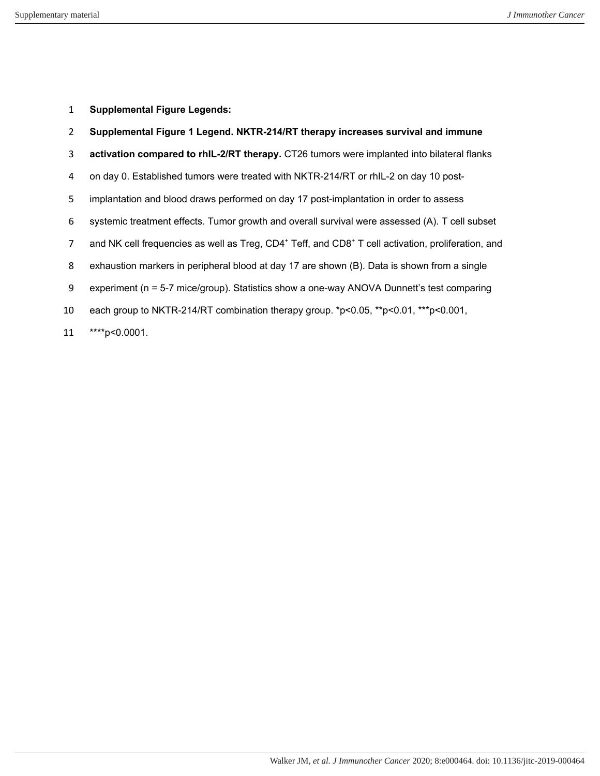**Supplemental Figure Legends:**

| $\overline{2}$ | Supplemental Figure 1 Legend. NKTR-214/RT therapy increases survival and immune                                            |
|----------------|----------------------------------------------------------------------------------------------------------------------------|
| 3              | activation compared to rhIL-2/RT therapy. CT26 tumors were implanted into bilateral flanks                                 |
| 4              | on day 0. Established tumors were treated with NKTR-214/RT or rhIL-2 on day 10 post-                                       |
| 5              | implantation and blood draws performed on day 17 post-implantation in order to assess                                      |
| 6              | systemic treatment effects. Tumor growth and overall survival were assessed (A). T cell subset                             |
| 7              | and NK cell frequencies as well as Treg, CD4 <sup>+</sup> Teff, and CD8 <sup>+</sup> T cell activation, proliferation, and |
| 8              | exhaustion markers in peripheral blood at day 17 are shown (B). Data is shown from a single                                |
| 9              | experiment (n = 5-7 mice/group). Statistics show a one-way ANOVA Dunnett's test comparing                                  |
| 10             | each group to NKTR-214/RT combination therapy group. *p<0.05, **p<0.01, ***p<0.001,                                        |
| 11             | ****p<0.0001.                                                                                                              |

Walker JM*, et al. J Immunother Cancer* 2020; 8:e000464. doi: 10.1136/jitc-2019-000464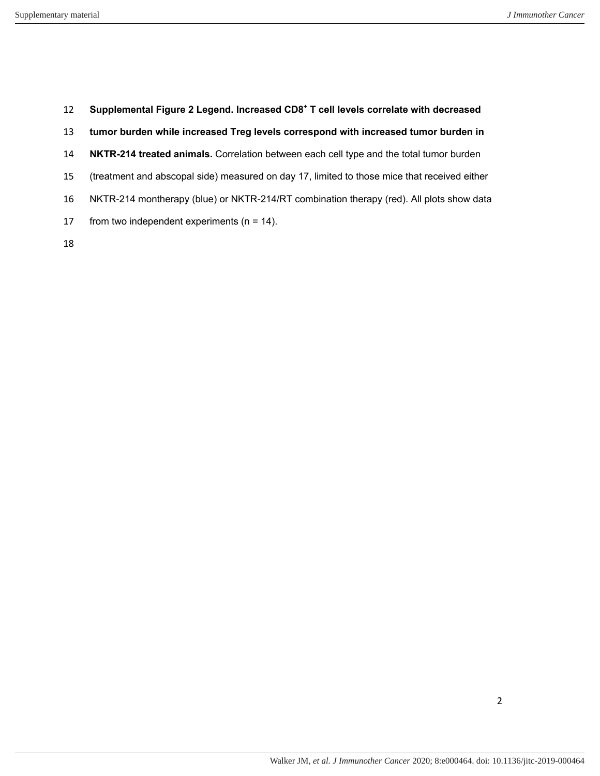- **Supplemental Figure 2 Legend. Increased CD8<sup>+</sup> T cell levels correlate with decreased**
- **tumor burden while increased Treg levels correspond with increased tumor burden in**
- **NKTR-214 treated animals.** Correlation between each cell type and the total tumor burden
- (treatment and abscopal side) measured on day 17, limited to those mice that received either
- NKTR-214 montherapy (blue) or NKTR-214/RT combination therapy (red). All plots show data
- 17 from two independent experiments ( $n = 14$ ).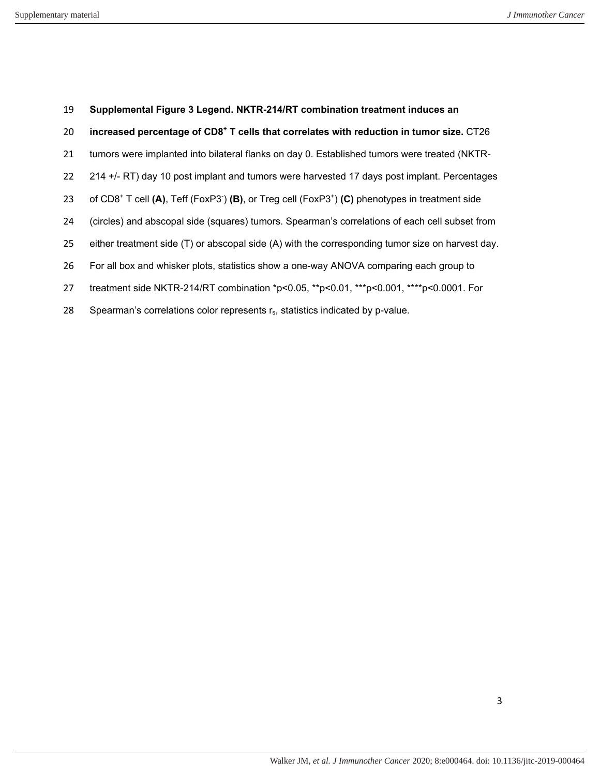- **Supplemental Figure 3 Legend. NKTR-214/RT combination treatment induces an**
- **increased percentage of CD8<sup>+</sup> T cells that correlates with reduction in tumor size.** CT26
- tumors were implanted into bilateral flanks on day 0. Established tumors were treated (NKTR-
- 214 +/- RT) day 10 post implant and tumors were harvested 17 days post implant. Percentages
- 23 of CD8<sup>+</sup> T cell (A), Teff (FoxP3<sup>-</sup>) (B), or Treg cell (FoxP3<sup>+</sup>) (C) phenotypes in treatment side
- (circles) and abscopal side (squares) tumors. Spearman's correlations of each cell subset from
- either treatment side (T) or abscopal side (A) with the corresponding tumor size on harvest day.
- For all box and whisker plots, statistics show a one-way ANOVA comparing each group to
- treatment side NKTR-214/RT combination \*p<0.05, \*\*p<0.01, \*\*\*p<0.001, \*\*\*\*p<0.0001. For
- 28 Spearman's correlations color represents r<sub>s</sub>, statistics indicated by p-value.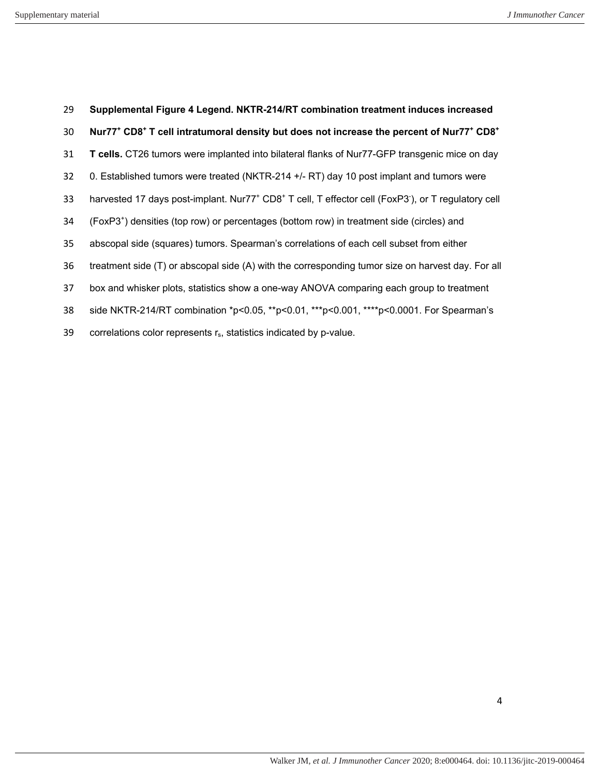| 29 | Supplemental Figure 4 Legend. NKTR-214/RT combination treatment induces increased                                                        |
|----|------------------------------------------------------------------------------------------------------------------------------------------|
| 30 | Nur77 <sup>+</sup> CD8 <sup>+</sup> T cell intratumoral density but does not increase the percent of Nur77 <sup>+</sup> CD8 <sup>+</sup> |
| 31 | T cells. CT26 tumors were implanted into bilateral flanks of Nur77-GFP transgenic mice on day                                            |
| 32 | 0. Established tumors were treated (NKTR-214 +/- RT) day 10 post implant and tumors were                                                 |
| 33 | harvested 17 days post-implant. Nur77 <sup>+</sup> CD8 <sup>+</sup> T cell, T effector cell (FoxP3 <sup>-</sup> ), or T regulatory cell  |
| 34 | (FoxP3 <sup>+</sup> ) densities (top row) or percentages (bottom row) in treatment side (circles) and                                    |
| 35 | abscopal side (squares) tumors. Spearman's correlations of each cell subset from either                                                  |
| 36 | treatment side (T) or abscopal side (A) with the corresponding tumor size on harvest day. For all                                        |
| 37 | box and whisker plots, statistics show a one-way ANOVA comparing each group to treatment                                                 |
| 38 | side NKTR-214/RT combination *p<0.05, **p<0.01, ***p<0.001, ****p<0.0001. For Spearman's                                                 |
| 39 | correlations color represents r <sub>s</sub> , statistics indicated by p-value.                                                          |